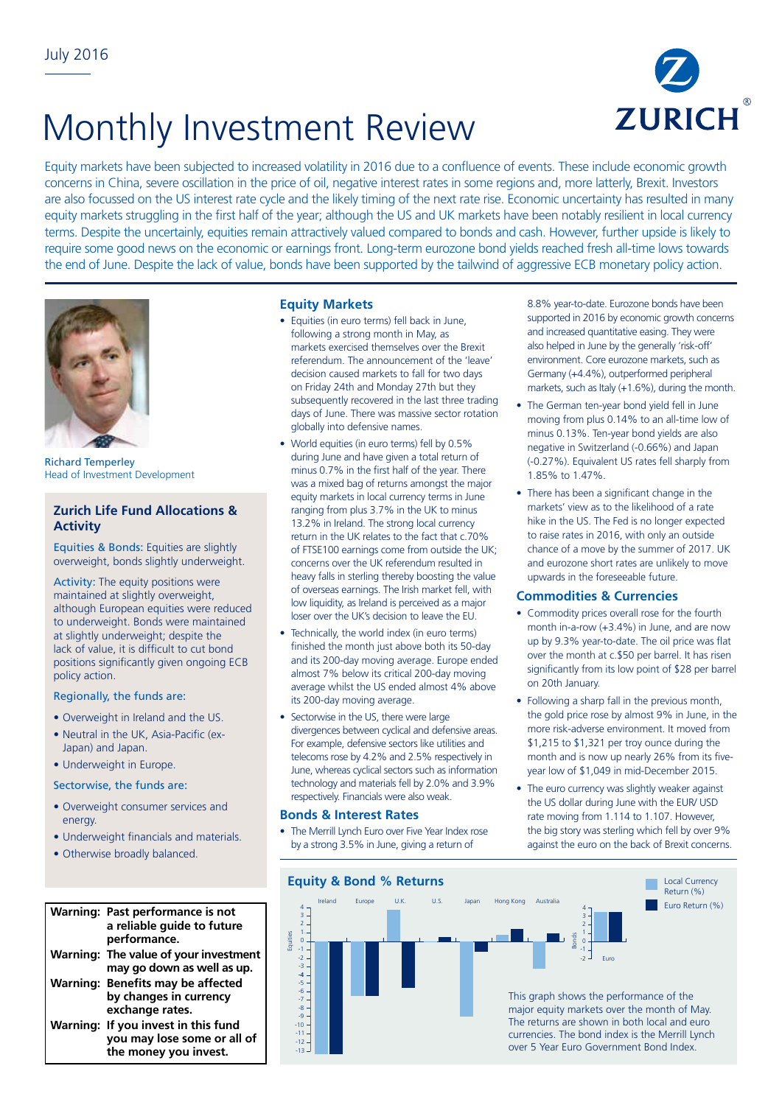# Monthly Investment Review



Equity markets have been subjected to increased volatility in 2016 due to a confluence of events. These include economic growth concerns in China, severe oscillation in the price of oil, negative interest rates in some regions and, more latterly, Brexit. Investors are also focussed on the US interest rate cycle and the likely timing of the next rate rise. Economic uncertainty has resulted in many equity markets struggling in the first half of the year; although the US and UK markets have been notably resilient in local currency terms. Despite the uncertainly, equities remain attractively valued compared to bonds and cash. However, further upside is likely to require some good news on the economic or earnings front. Long-term eurozone bond yields reached fresh all-time lows towards the end of June. Despite the lack of value, bonds have been supported by the tailwind of aggressive ECB monetary policy action.



Richard Temperley Head of Investment Development

# **Zurich Life Fund Allocations & Activity**

Equities & Bonds: Equities are slightly overweight, bonds slightly underweight.

Activity: The equity positions were maintained at slightly overweight, although European equities were reduced to underweight. Bonds were maintained at slightly underweight; despite the lack of value, it is difficult to cut bond positions significantly given ongoing ECB policy action.

#### Regionally, the funds are:

- Overweight in Ireland and the US.
- Neutral in the UK, Asia-Pacific (ex-Japan) and Japan.
- Underweight in Europe.

#### Sectorwise, the funds are:

- Overweight consumer services and energy.
- Underweight financials and materials.
- Otherwise broadly balanced.

#### **Warning: Past performance is not**  7 a reliable guide to future **performance. Warning: The value of your investment**  3 5 **may go down as well as up.**  4 -3 **Warning: Benefits may be affected**  -3 by changes in currency **exchange rates. Warning: If you invest in this fund you may lose some or all of**  -11 **the money you invest.**

#### **Equity Markets**

- Equities (in euro terms) fell back in June, following a strong month in May, as markets exercised themselves over the Brexit referendum. The announcement of the 'leave' decision caused markets to fall for two days on Friday 24th and Monday 27th but they subsequently recovered in the last three trading days of June. There was massive sector rotation globally into defensive names.
- World equities (in euro terms) fell by 0.5% during June and have given a total return of minus 0.7% in the first half of the year. There was a mixed bag of returns amongst the major equity markets in local currency terms in June ranging from plus 3.7% in the UK to minus 13.2% in Ireland. The strong local currency return in the UK relates to the fact that c.70% of FTSE100 earnings come from outside the UK; concerns over the UK referendum resulted in heavy falls in sterling thereby boosting the value of overseas earnings. The Irish market fell, with low liquidity, as Ireland is perceived as a major loser over the UK's decision to leave the EU.
- Technically, the world index (in euro terms) finished the month just above both its 50-day and its 200-day moving average. Europe ended almost 7% below its critical 200-day moving average whilst the US ended almost 4% above its 200-day moving average.
- Sectorwise in the US, there were large divergences between cyclical and defensive areas. For example, defensive sectors like utilities and telecoms rose by 4.2% and 2.5% respectively in June, whereas cyclical sectors such as information technology and materials fell by 2.0% and 3.9% respectively. Financials were also weak.

### **Bonds & Interest Rates**

The Merrill Lynch Euro over Five Year Index rose by a strong 3.5% in June, giving a return of

8.8% year-to-date. Eurozone bonds have been supported in 2016 by economic growth concerns and increased quantitative easing. They were also helped in June by the generally 'risk-off' environment. Core eurozone markets, such as Germany (+4.4%), outperformed peripheral markets, such as Italy (+1.6%), during the month.

- The German ten-year bond yield fell in June moving from plus 0.14% to an all-time low of minus 0.13%. Ten-year bond yields are also negative in Switzerland (-0.66%) and Japan (-0.27%). Equivalent US rates fell sharply from 1.85% to 1.47%.
- There has been a significant change in the markets' view as to the likelihood of a rate hike in the US. The Fed is no longer expected to raise rates in 2016, with only an outside chance of a move by the summer of 2017. UK and eurozone short rates are unlikely to move upwards in the foreseeable future.

#### **Commodities & Currencies**

- Commodity prices overall rose for the fourth month in-a-row (+3.4%) in June, and are now up by 9.3% year-to-date. The oil price was flat over the month at c.\$50 per barrel. It has risen significantly from its low point of \$28 per barrel on 20th January.
- Following a sharp fall in the previous month, the gold price rose by almost 9% in June, in the more risk-adverse environment. It moved from \$1,215 to \$1,321 per troy ounce during the month and is now up nearly 26% from its fiveyear low of \$1,049 in mid-December 2015.
- The euro currency was slightly weaker against the US dollar during June with the EUR/ USD rate moving from 1.114 to 1.107. However, the big story was sterling which fell by over 9% against the euro on the back of Brexit concerns.

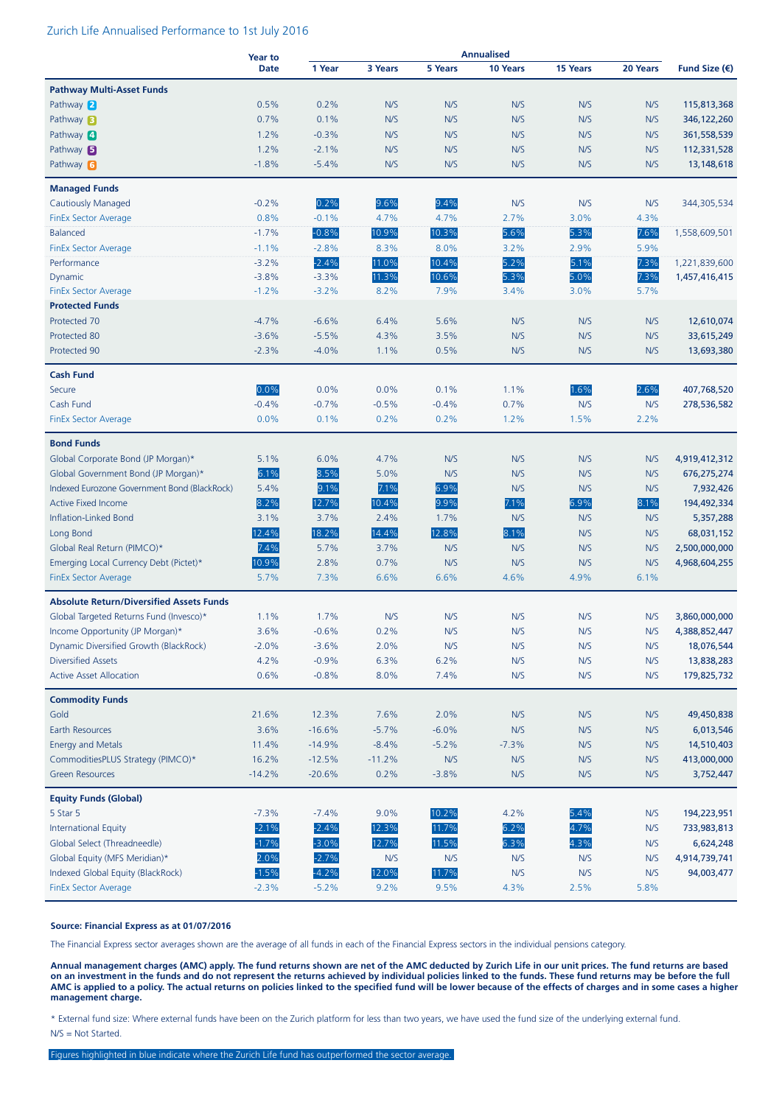## Zurich Life Annualised Performance to 1st July 2016

|                                                 | <b>Year to</b> |          |          |         | <b>Annualised</b> |                 |          |               |
|-------------------------------------------------|----------------|----------|----------|---------|-------------------|-----------------|----------|---------------|
|                                                 | <b>Date</b>    | 1 Year   | 3 Years  | 5 Years | 10 Years          | <b>15 Years</b> | 20 Years | Fund Size (€) |
| <b>Pathway Multi-Asset Funds</b>                |                |          |          |         |                   |                 |          |               |
| Pathway 2                                       | 0.5%           | 0.2%     | N/S      | N/S     | N/S               | N/S             | N/S      | 115,813,368   |
| Pathway <b>3</b>                                | 0.7%           | 0.1%     | N/S      | N/S     | N/S               | N/S             | N/S      | 346, 122, 260 |
| Pathway 4                                       | 1.2%           | $-0.3%$  | N/S      | N/S     | N/S               | N/S             | N/S      | 361,558,539   |
| Pathway $\blacksquare$                          | 1.2%           | $-2.1%$  | N/S      | N/S     | N/S               | N/S             | N/S      | 112,331,528   |
| Pathway 6                                       | $-1.8%$        | $-5.4%$  | N/S      | N/S     | N/S               | N/S             | N/S      | 13,148,618    |
|                                                 |                |          |          |         |                   |                 |          |               |
| <b>Managed Funds</b>                            |                |          |          |         |                   |                 |          |               |
| <b>Cautiously Managed</b>                       | $-0.2%$        | 0.2%     | 9.6%     | 9.4%    | N/S               | N/S             | N/S      | 344,305,534   |
| <b>FinEx Sector Average</b>                     | 0.8%           | $-0.1%$  | 4.7%     | 4.7%    | 2.7%              | 3.0%            | 4.3%     |               |
| <b>Balanced</b>                                 | $-1.7%$        | $-0.8%$  | 10.9%    | 10.3%   | 5.6%              | 5.3%            | 7.6%     | 1,558,609,501 |
| <b>FinEx Sector Average</b>                     | $-1.1%$        | $-2.8%$  | 8.3%     | 8.0%    | 3.2%              | 2.9%            | 5.9%     |               |
| Performance                                     | $-3.2%$        | $-2.4%$  | 11.0%    | 10.4%   | 5.2%              | 5.1%            | 7.3%     | 1,221,839,600 |
| Dynamic                                         | $-3.8%$        | $-3.3%$  | 11.3%    | 10.6%   | 5.3%              | 5.0%            | 7.3%     | 1,457,416,415 |
| <b>FinEx Sector Average</b>                     | $-1.2%$        | $-3.2%$  | 8.2%     | 7.9%    | 3.4%              | 3.0%            | 5.7%     |               |
| <b>Protected Funds</b>                          |                |          |          |         |                   |                 |          |               |
| Protected 70                                    | $-4.7%$        | $-6.6%$  | 6.4%     | 5.6%    | N/S               | N/S             | N/S      | 12,610,074    |
| Protected 80                                    | $-3.6%$        | $-5.5%$  | 4.3%     | 3.5%    | N/S               | N/S             | N/S      | 33,615,249    |
| Protected 90                                    | $-2.3%$        | $-4.0%$  | 1.1%     | 0.5%    | N/S               | N/S             | N/S      | 13,693,380    |
| <b>Cash Fund</b>                                |                |          |          |         |                   |                 |          |               |
| Secure                                          | 0.0%           | 0.0%     | 0.0%     | 0.1%    | 1.1%              | 1.6%            | 2.6%     | 407,768,520   |
| Cash Fund                                       | $-0.4%$        | $-0.7%$  | $-0.5%$  | $-0.4%$ | 0.7%              | N/S             | N/S      | 278,536,582   |
| FinEx Sector Average                            | 0.0%           | 0.1%     | 0.2%     | 0.2%    | 1.2%              | 1.5%            | 2.2%     |               |
|                                                 |                |          |          |         |                   |                 |          |               |
| <b>Bond Funds</b>                               |                |          |          |         |                   |                 |          |               |
| Global Corporate Bond (JP Morgan)*              | 5.1%           | 6.0%     | 4.7%     | N/S     | N/S               | N/S             | N/S      | 4,919,412,312 |
| Global Government Bond (JP Morgan)*             | 6.1%           | 8.5%     | 5.0%     | N/S     | N/S               | N/S             | N/S      | 676,275,274   |
| Indexed Eurozone Government Bond (BlackRock)    | 5.4%           | 9.1%     | 7.1%     | 6.9%    | N/S               | N/S             | N/S      | 7,932,426     |
| <b>Active Fixed Income</b>                      | 8.2%           | 12.7%    | 10.4%    | 9.9%    | 7.1%              | 6.9%            | 8.1%     | 194,492,334   |
| Inflation-Linked Bond                           | 3.1%           | 3.7%     | 2.4%     | 1.7%    | N/S               | N/S             | N/S      | 5,357,288     |
| Long Bond                                       | 12.4%          | 18.2%    | 14.4%    | 12.8%   | 8.1%              | N/S             | N/S      | 68,031,152    |
| Global Real Return (PIMCO)*                     | 7.4%           | 5.7%     | 3.7%     | N/S     | N/S               | N/S             | N/S      | 2,500,000,000 |
| Emerging Local Currency Debt (Pictet)*          | 10.9%          | 2.8%     | 0.7%     | N/S     | N/S               | N/S             | N/S      | 4,968,604,255 |
| <b>FinEx Sector Average</b>                     | 5.7%           | 7.3%     | 6.6%     | 6.6%    | 4.6%              | 4.9%            | 6.1%     |               |
| <b>Absolute Return/Diversified Assets Funds</b> |                |          |          |         |                   |                 |          |               |
| Global Targeted Returns Fund (Invesco)*         | 1.1%           | 1.7%     | N/S      | N/S     | N/S               | N/S             | N/S      | 3,860,000,000 |
| Income Opportunity (JP Morgan)*                 | 3.6%           | $-0.6%$  | 0.2%     | N/S     | N/S               | N/S             | N/S      | 4,388,852,447 |
| Dynamic Diversified Growth (BlackRock)          | $-2.0%$        | $-3.6%$  | 2.0%     | N/S     | N/S               | N/S             | N/S      | 18,076,544    |
| <b>Diversified Assets</b>                       | 4.2%           | $-0.9%$  | 6.3%     | 6.2%    | N/S               | N/S             | N/S      | 13,838,283    |
| <b>Active Asset Allocation</b>                  | 0.6%           | $-0.8%$  | 8.0%     | 7.4%    | N/S               | N/S             | N/S      | 179,825,732   |
|                                                 |                |          |          |         |                   |                 |          |               |
| <b>Commodity Funds</b>                          |                |          |          |         |                   |                 |          |               |
| Gold                                            | 21.6%          | 12.3%    | 7.6%     | 2.0%    | N/S               | N/S             | N/S      | 49,450,838    |
| Earth Resources                                 | 3.6%           | $-16.6%$ | $-5.7%$  | $-6.0%$ | N/S               | N/S             | N/S      | 6,013,546     |
| <b>Energy and Metals</b>                        | 11.4%          | $-14.9%$ | $-8.4%$  | $-5.2%$ | $-7.3%$           | N/S             | N/S      | 14,510,403    |
| CommoditiesPLUS Strategy (PIMCO)*               | 16.2%          | $-12.5%$ | $-11.2%$ | N/S     | N/S               | N/S             | N/S      | 413,000,000   |
| <b>Green Resources</b>                          | $-14.2%$       | $-20.6%$ | 0.2%     | $-3.8%$ | N/S               | N/S             | N/S      | 3,752,447     |
| <b>Equity Funds (Global)</b>                    |                |          |          |         |                   |                 |          |               |
| 5 Star 5                                        | $-7.3%$        | $-7.4%$  | 9.0%     | 10.2%   | 4.2%              | 5.4%            | N/S      | 194,223,951   |
| International Equity                            | $-2.1%$        | $-2.4%$  | 12.3%    | 11.7%   | 6.2%              | 4.7%            | N/S      | 733,983,813   |
| Global Select (Threadneedle)                    | $-1.7%$        | $-3.0%$  | 12.7%    | 11.5%   | 6.3%              | 4.3%            | N/S      | 6,624,248     |
| Global Equity (MFS Meridian)*                   | 2.0%           | $-2.7%$  | N/S      | N/S     | N/S               | N/S             | N/S      | 4,914,739,741 |
| Indexed Global Equity (BlackRock)               | $-1.5%$        | $-4.2%$  | 12.0%    | 11.7%   | N/S               | N/S             | N/S      | 94,003,477    |
| FinEx Sector Average                            | $-2.3%$        | $-5.2%$  | 9.2%     | 9.5%    | 4.3%              | 2.5%            | 5.8%     |               |
|                                                 |                |          |          |         |                   |                 |          |               |

#### **Source: Financial Express as at 01/07/2016**

The Financial Express sector averages shown are the average of all funds in each of the Financial Express sectors in the individual pensions category.

**Annual management charges (AMC) apply. The fund returns shown are net of the AMC deducted by Zurich Life in our unit prices. The fund returns are based on an investment in the funds and do not represent the returns achieved by individual policies linked to the funds. These fund returns may be before the full AMC is applied to a policy. The actual returns on policies linked to the specified fund will be lower because of the effects of charges and in some cases a higher management charge.**

\* External fund size: Where external funds have been on the Zurich platform for less than two years, we have used the fund size of the underlying external fund. N/S = Not Started.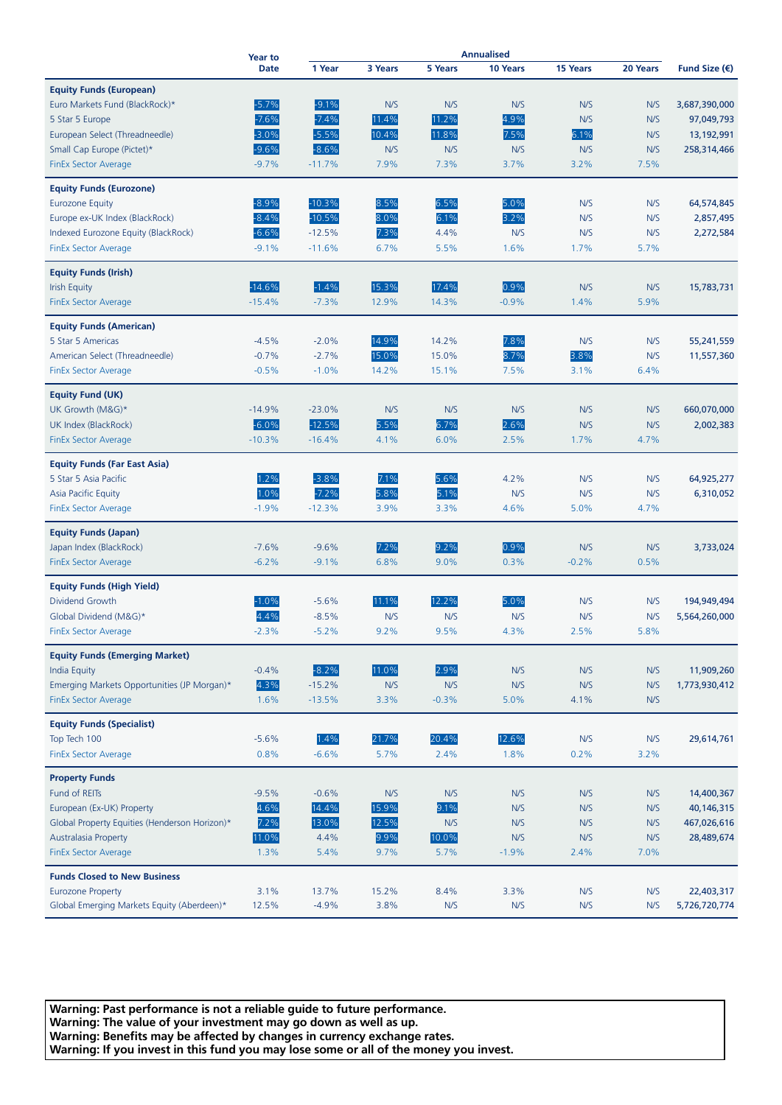|                                               | <b>Year to</b><br><b>Date</b> | <b>Annualised</b> |         |                |          |          |          |                        |
|-----------------------------------------------|-------------------------------|-------------------|---------|----------------|----------|----------|----------|------------------------|
|                                               |                               | 1 Year            | 3 Years | <b>5 Years</b> | 10 Years | 15 Years | 20 Years | Fund Size $(\epsilon)$ |
| <b>Equity Funds (European)</b>                |                               |                   |         |                |          |          |          |                        |
| Euro Markets Fund (BlackRock)*                | $-5.7%$                       | $-9.1%$           | N/S     | N/S            | N/S      | N/S      | N/S      | 3,687,390,000          |
|                                               | $-7.6%$                       | $-7.4%$           | 11.4%   | 11.2%          | 4.9%     | N/S      | N/S      | 97,049,793             |
| 5 Star 5 Europe                               | $-3.0%$                       | $-5.5%$           | 10.4%   | 11.8%          | 7.5%     | 6.1%     | N/S      |                        |
| European Select (Threadneedle)                |                               |                   |         |                |          |          |          | 13,192,991             |
| Small Cap Europe (Pictet)*                    | $-9.6%$                       | $-8.6%$           | N/S     | N/S            | N/S      | N/S      | N/S      | 258,314,466            |
| <b>FinEx Sector Average</b>                   | $-9.7%$                       | $-11.7%$          | 7.9%    | 7.3%           | 3.7%     | 3.2%     | 7.5%     |                        |
| <b>Equity Funds (Eurozone)</b>                |                               |                   |         |                |          |          |          |                        |
| <b>Eurozone Equity</b>                        | $-8.9%$                       | $-10.3%$          | 8.5%    | 6.5%           | 5.0%     | N/S      | N/S      | 64,574,845             |
| Europe ex-UK Index (BlackRock)                | $-8.4%$                       | $-10.5%$          | 8.0%    | 6.1%           | 3.2%     | N/S      | N/S      | 2,857,495              |
| Indexed Eurozone Equity (BlackRock)           | $-6.6%$                       | $-12.5%$          | 7.3%    | 4.4%           | N/S      | N/S      | N/S      | 2,272,584              |
| <b>FinEx Sector Average</b>                   | $-9.1%$                       | $-11.6%$          | 6.7%    | 5.5%           | 1.6%     | 1.7%     | 5.7%     |                        |
| <b>Equity Funds (Irish)</b>                   |                               |                   |         |                |          |          |          |                        |
|                                               | $-14.6%$                      | $-1.4%$           | 15.3%   | 17.4%          | 0.9%     | N/S      | N/S      |                        |
| <b>Irish Equity</b>                           |                               |                   |         |                |          |          |          | 15,783,731             |
| FinEx Sector Average                          | $-15.4%$                      | $-7.3%$           | 12.9%   | 14.3%          | $-0.9%$  | 1.4%     | 5.9%     |                        |
| <b>Equity Funds (American)</b>                |                               |                   |         |                |          |          |          |                        |
| 5 Star 5 Americas                             | $-4.5%$                       | $-2.0%$           | 14.9%   | 14.2%          | 7.8%     | N/S      | N/S      | 55,241,559             |
| American Select (Threadneedle)                | $-0.7%$                       | $-2.7%$           | 15.0%   | 15.0%          | 8.7%     | 3.8%     | N/S      | 11,557,360             |
| <b>FinEx Sector Average</b>                   | $-0.5%$                       | $-1.0%$           | 14.2%   | 15.1%          | 7.5%     | 3.1%     | 6.4%     |                        |
| <b>Equity Fund (UK)</b>                       |                               |                   |         |                |          |          |          |                        |
| UK Growth (M&G)*                              | $-14.9%$                      | $-23.0%$          | N/S     | N/S            | N/S      | N/S      | N/S      | 660,070,000            |
| UK Index (BlackRock)                          | $-6.0%$                       | $-12.5%$          | 5.5%    | 6.7%           | 2.6%     | N/S      | N/S      | 2,002,383              |
| <b>FinEx Sector Average</b>                   | $-10.3%$                      | $-16.4%$          | 4.1%    | 6.0%           | 2.5%     | 1.7%     | 4.7%     |                        |
|                                               |                               |                   |         |                |          |          |          |                        |
| <b>Equity Funds (Far East Asia)</b>           |                               |                   |         |                |          |          |          |                        |
| 5 Star 5 Asia Pacific                         | 1.2%                          | $-3.8%$           | 7.1%    | 5.6%           | 4.2%     | N/S      | N/S      | 64,925,277             |
| Asia Pacific Equity                           | 1.0%                          | $-7.2%$           | 5.8%    | 5.1%           | N/S      | N/S      | N/S      | 6,310,052              |
| <b>FinEx Sector Average</b>                   | $-1.9%$                       | $-12.3%$          | 3.9%    | 3.3%           | 4.6%     | 5.0%     | 4.7%     |                        |
|                                               |                               |                   |         |                |          |          |          |                        |
| <b>Equity Funds (Japan)</b>                   |                               |                   |         |                | 0.9%     |          |          |                        |
| Japan Index (BlackRock)                       | $-7.6%$                       | $-9.6%$           | 7.2%    | 9.2%           |          | N/S      | N/S      | 3,733,024              |
| <b>FinEx Sector Average</b>                   | $-6.2%$                       | $-9.1%$           | 6.8%    | 9.0%           | 0.3%     | $-0.2%$  | 0.5%     |                        |
| <b>Equity Funds (High Yield)</b>              |                               |                   |         |                |          |          |          |                        |
| Dividend Growth                               | $-1.0%$                       | $-5.6%$           | 11.1%   | 12.2%          | 5.0%     | N/S      | N/S      | 194,949,494            |
| Global Dividend (M&G)*                        | 4.4%                          | $-8.5%$           | N/S     | N/S            | N/S      | N/S      | N/S      | 5,564,260,000          |
| <b>FinEx Sector Average</b>                   | $-2.3%$                       | $-5.2%$           | 9.2%    | 9.5%           | 4.3%     | 2.5%     | 5.8%     |                        |
|                                               |                               |                   |         |                |          |          |          |                        |
| <b>Equity Funds (Emerging Market)</b>         |                               |                   |         |                |          |          |          |                        |
| <b>India Equity</b>                           | $-0.4%$                       | $-8.2%$           | 11.0%   | 2.9%           | N/S      | N/S      | N/S      | 11,909,260             |
| Emerging Markets Opportunities (JP Morgan)*   | 4.3%                          | $-15.2%$          | N/S     | N/S            | N/S      | N/S      | N/S      | 1,773,930,412          |
| <b>FinEx Sector Average</b>                   | 1.6%                          | $-13.5%$          | 3.3%    | $-0.3%$        | 5.0%     | 4.1%     | N/S      |                        |
| <b>Equity Funds (Specialist)</b>              |                               |                   |         |                |          |          |          |                        |
| Top Tech 100                                  | $-5.6%$                       | 1.4%              | 21.7%   | 20.4%          | 12.6%    | N/S      | N/S      | 29,614,761             |
| <b>FinEx Sector Average</b>                   | 0.8%                          | $-6.6%$           | 5.7%    | 2.4%           | 1.8%     | 0.2%     | 3.2%     |                        |
|                                               |                               |                   |         |                |          |          |          |                        |
| <b>Property Funds</b>                         |                               |                   |         |                |          |          |          |                        |
| Fund of REITs                                 | $-9.5%$                       | $-0.6%$           | N/S     | N/S            | N/S      | N/S      | N/S      | 14,400,367             |
| European (Ex-UK) Property                     | 4.6%                          | 14.4%             | 15.9%   | 9.1%           | N/S      | N/S      | N/S      | 40,146,315             |
| Global Property Equities (Henderson Horizon)* | 7.2%                          | 13.0%             | 12.5%   | N/S            | N/S      | N/S      | N/S      | 467,026,616            |
| <b>Australasia Property</b>                   | 11.0%                         | 4.4%              | 9.9%    | 10.0%          | N/S      | N/S      | N/S      | 28,489,674             |
| <b>FinEx Sector Average</b>                   | 1.3%                          | 5.4%              | 9.7%    | 5.7%           | $-1.9%$  | 2.4%     | 7.0%     |                        |
| <b>Funds Closed to New Business</b>           |                               |                   |         |                |          |          |          |                        |
| <b>Eurozone Property</b>                      | 3.1%                          | 13.7%             | 15.2%   | 8.4%           | 3.3%     | N/S      | N/S      | 22,403,317             |
| Global Emerging Markets Equity (Aberdeen)*    | 12.5%                         | $-4.9%$           | 3.8%    | N/S            | N/S      | N/S      | N/S      | 5,726,720,774          |
|                                               |                               |                   |         |                |          |          |          |                        |

**Warning: Past performance is not a reliable guide to future performance. Warning: The value of your investment may go down as well as up. Warning: Benefits may be affected by changes in currency exchange rates. Warning: If you invest in this fund you may lose some or all of the money you invest.**